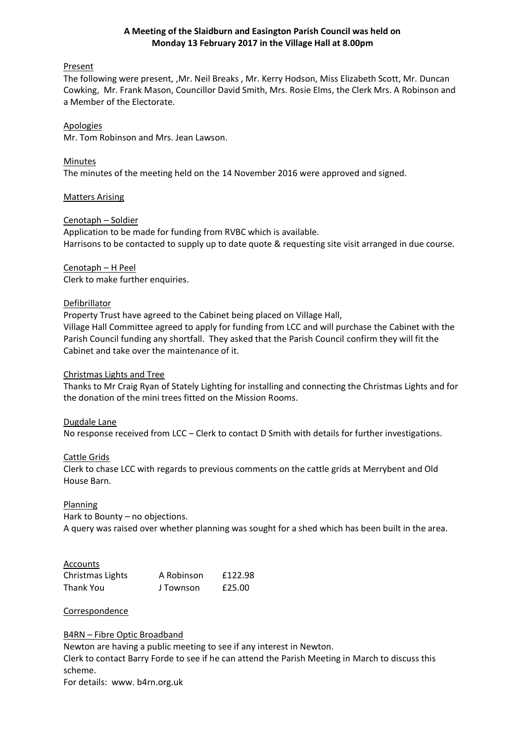## **A Meeting of the Slaidburn and Easington Parish Council was held on Monday 13 February 2017 in the Village Hall at 8.00pm**

## Present

The following were present, ,Mr. Neil Breaks , Mr. Kerry Hodson, Miss Elizabeth Scott, Mr. Duncan Cowking, Mr. Frank Mason, Councillor David Smith, Mrs. Rosie Elms, the Clerk Mrs. A Robinson and a Member of the Electorate.

## Apologies

Mr. Tom Robinson and Mrs. Jean Lawson.

## Minutes

The minutes of the meeting held on the 14 November 2016 were approved and signed.

### Matters Arising

## Cenotaph – Soldier

Application to be made for funding from RVBC which is available. Harrisons to be contacted to supply up to date quote & requesting site visit arranged in due course.

# Cenotaph – H Peel Clerk to make further enquiries.

## **Defibrillator**

Property Trust have agreed to the Cabinet being placed on Village Hall, Village Hall Committee agreed to apply for funding from LCC and will purchase the Cabinet with the Parish Council funding any shortfall. They asked that the Parish Council confirm they will fit the Cabinet and take over the maintenance of it.

## Christmas Lights and Tree

Thanks to Mr Craig Ryan of Stately Lighting for installing and connecting the Christmas Lights and for the donation of the mini trees fitted on the Mission Rooms.

### Dugdale Lane

No response received from LCC – Clerk to contact D Smith with details for further investigations.

### Cattle Grids

Clerk to chase LCC with regards to previous comments on the cattle grids at Merrybent and Old House Barn.

### Planning

Hark to Bounty – no objections. A query was raised over whether planning was sought for a shed which has been built in the area.

### Accounts

| Christmas Lights | A Robinson | £122.98 |
|------------------|------------|---------|
| <b>Thank You</b> | J Townson  | £25.00  |

### **Correspondence**

### B4RN – Fibre Optic Broadband

Newton are having a public meeting to see if any interest in Newton. Clerk to contact Barry Forde to see if he can attend the Parish Meeting in March to discuss this scheme.

For details: www. b4rn.org.uk